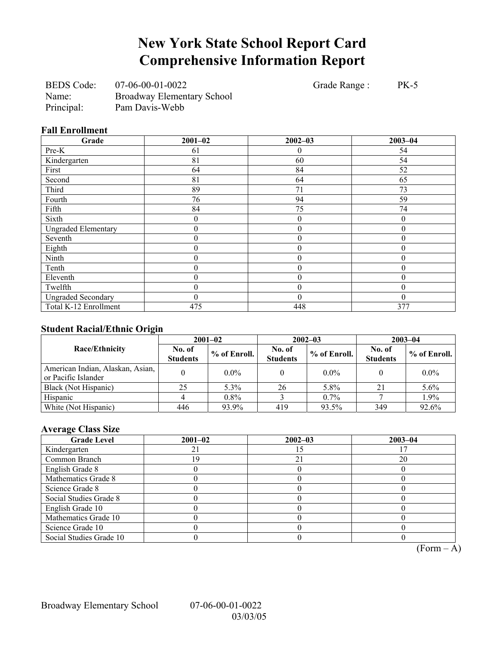## **New York State School Report Card Comprehensive Information Report**

BEDS Code: 07-06-00-01-0022 Grade Range : PK-5 Name: Broadway Elementary School Principal: Pam Davis-Webb

#### **Fall Enrollment**

| Grade                      | $2001 - 02$      | $2002 - 03$      | $2003 - 04$      |
|----------------------------|------------------|------------------|------------------|
| Pre-K                      | 61               | $\theta$         | 54               |
| Kindergarten               | 81               | 60               | 54               |
| First                      | 64               | 84               | 52               |
| Second                     | 81               | 64               | 65               |
| Third                      | 89               | 71               | 73               |
| Fourth                     | 76               | 94               | 59               |
| Fifth                      | 84               | 75               | 74               |
| Sixth                      | $\boldsymbol{0}$ | $\theta$         | $\theta$         |
| <b>Ungraded Elementary</b> | $\boldsymbol{0}$ | $\boldsymbol{0}$ | $\boldsymbol{0}$ |
| Seventh                    | $\boldsymbol{0}$ | $\overline{0}$   | $\theta$         |
| Eighth                     | $\boldsymbol{0}$ | $\theta$         | $\Omega$         |
| Ninth                      | $\boldsymbol{0}$ | $\boldsymbol{0}$ | $\Omega$         |
| Tenth                      | $\boldsymbol{0}$ | $\boldsymbol{0}$ | $\theta$         |
| Eleventh                   | $\theta$         | $\theta$         | $\theta$         |
| Twelfth                    | $\theta$         | $\theta$         | $\Omega$         |
| <b>Ungraded Secondary</b>  | $\theta$         | $\theta$         | $\theta$         |
| Total K-12 Enrollment      | 475              | 448              | 377              |

### **Student Racial/Ethnic Origin**

| ັ                                                       | $2001 - 02$               |                | $2002 - 03$               |              | $2003 - 04$               |                |
|---------------------------------------------------------|---------------------------|----------------|---------------------------|--------------|---------------------------|----------------|
| Race/Ethnicity                                          | No. of<br><b>Students</b> | $%$ of Enroll. | No. of<br><b>Students</b> | % of Enroll. | No. of<br><b>Students</b> | $%$ of Enroll. |
| American Indian, Alaskan, Asian,<br>or Pacific Islander |                           | $0.0\%$        |                           | $0.0\%$      |                           | $0.0\%$        |
| Black (Not Hispanic)                                    | 25                        | $5.3\%$        | 26                        | 5.8%         | 21                        | 5.6%           |
| Hispanic                                                |                           | $0.8\%$        |                           | $0.7\%$      |                           | 1.9%           |
| White (Not Hispanic)                                    | 446                       | 93.9%          | 419                       | 93.5%        | 349                       | 92.6%          |

### **Average Class Size**

| <b>Grade Level</b>      | $2001 - 02$ | $2002 - 03$ | $2003 - 04$ |
|-------------------------|-------------|-------------|-------------|
| Kindergarten            |             |             |             |
| Common Branch           | -9          | 21          | 20          |
| English Grade 8         |             |             |             |
| Mathematics Grade 8     |             |             |             |
| Science Grade 8         |             |             |             |
| Social Studies Grade 8  |             |             |             |
| English Grade 10        |             |             |             |
| Mathematics Grade 10    |             |             |             |
| Science Grade 10        |             |             |             |
| Social Studies Grade 10 |             |             |             |

 $\overline{(Form - A)}$ 

Broadway Elementary School 07-06-00-01-0022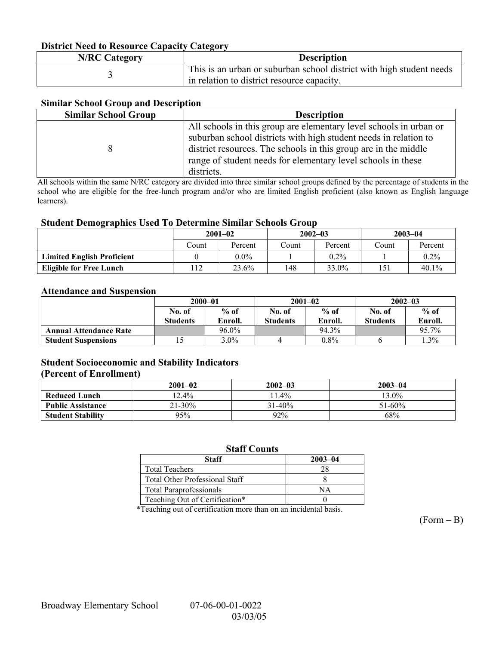#### **District Need to Resource Capacity Category**

| <b>N/RC Category</b> | <b>Description</b>                                                   |
|----------------------|----------------------------------------------------------------------|
|                      | This is an urban or suburban school district with high student needs |
|                      | in relation to district resource capacity.                           |

#### **Similar School Group and Description**

| <b>Similar School Group</b> | <b>Description</b>                                                                                                                                                                                                                                                                      |
|-----------------------------|-----------------------------------------------------------------------------------------------------------------------------------------------------------------------------------------------------------------------------------------------------------------------------------------|
|                             | All schools in this group are elementary level schools in urban or<br>suburban school districts with high student needs in relation to<br>district resources. The schools in this group are in the middle<br>range of student needs for elementary level schools in these<br>districts. |

All schools within the same N/RC category are divided into three similar school groups defined by the percentage of students in the school who are eligible for the free-lunch program and/or who are limited English proficient (also known as English language learners).

#### **Student Demographics Used To Determine Similar Schools Group**

|                                   | $2001 - 02$    |         | $2002 - 03$ |         | $2003 - 04$ |         |
|-----------------------------------|----------------|---------|-------------|---------|-------------|---------|
|                                   | Count          | Percent | Count       | Percent | Count       | Percent |
| <b>Limited English Proficient</b> |                | $0.0\%$ |             | $0.2\%$ |             | $0.2\%$ |
| <b>Eligible for Free Lunch</b>    | $\overline{1}$ | 23.6%   | 148         | 33.0%   | 151         | 40.1%   |

#### **Attendance and Suspension**

|                               | $2000 - 01$               |                   | $2001 - 02$               |                   | $2002 - 03$               |                   |
|-------------------------------|---------------------------|-------------------|---------------------------|-------------------|---------------------------|-------------------|
|                               | No. of<br><b>Students</b> | $%$ of<br>Enroll. | No. of<br><b>Students</b> | $%$ of<br>Enroll. | No. of<br><b>Students</b> | $%$ of<br>Enroll. |
| <b>Annual Attendance Rate</b> |                           | 96.0%             |                           | 94.3%             |                           | 95.7%             |
| <b>Student Suspensions</b>    |                           | $3.0\%$           |                           | $0.8\%$           |                           | $1.3\%$           |

#### **Student Socioeconomic and Stability Indicators**

#### **(Percent of Enrollment)**

|                          | $2001 - 02$ | $2002 - 03$ | $2003 - 04$ |
|--------------------------|-------------|-------------|-------------|
| <b>Reduced Lunch</b>     | $12.4\%$    | $1.4\%$     | $13.0\%$    |
| <b>Public Assistance</b> | $21 - 30\%$ | $31 - 40\%$ | $51 - 60\%$ |
| <b>Student Stability</b> | 95%         | 92%         | 68%         |

#### **Staff Counts**

| Staff                                 | $2003 - 04$ |
|---------------------------------------|-------------|
| <b>Total Teachers</b>                 |             |
| <b>Total Other Professional Staff</b> |             |
| <b>Total Paraprofessionals</b>        | NА          |
| Teaching Out of Certification*        |             |

\*Teaching out of certification more than on an incidental basis.

 $(Form - B)$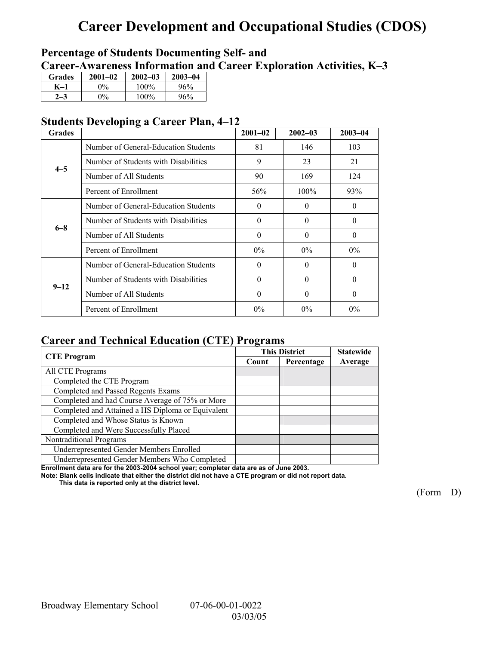# **Career Development and Occupational Studies (CDOS)**

### **Percentage of Students Documenting Self- and**  Career-Awareness Information and Career Exploration Activities, K-3

| Grades | $2001 - 02$ | $2002 - 03$ | $2003 - 04$ |
|--------|-------------|-------------|-------------|
| K–1    | $0\%$       | 100%        | 96%         |
|        | $\gamma_0$  | 100%        | 96%         |

### **Students Developing a Career Plan, 4–12**

| <b>Grades</b> |                                      | $2001 - 02$ | $2002 - 03$ | $2003 - 04$ |
|---------------|--------------------------------------|-------------|-------------|-------------|
|               | Number of General-Education Students | 81          | 146         | 103         |
|               | Number of Students with Disabilities | 9           | 23          | 21          |
| $4 - 5$       | Number of All Students               | 90          | 169         | 124         |
|               | Percent of Enrollment                | 56%         | $100\%$     | 93%         |
| $6 - 8$       | Number of General-Education Students | $\theta$    | $\Omega$    | 0           |
|               | Number of Students with Disabilities | $\Omega$    | $\Omega$    | $\theta$    |
|               | Number of All Students               | $\Omega$    | $\Omega$    | $\theta$    |
|               | Percent of Enrollment                | $0\%$       | $0\%$       | $0\%$       |
| $9 - 12$      | Number of General-Education Students | $\Omega$    | $\Omega$    | $\Omega$    |
|               | Number of Students with Disabilities | $\Omega$    | $\Omega$    | $\Omega$    |
|               | Number of All Students               | $\Omega$    | $\Omega$    | $\Omega$    |
|               | Percent of Enrollment                | $0\%$       | $0\%$       | $0\%$       |

### **Career and Technical Education (CTE) Programs**

|                                                   |       | <b>This District</b> | <b>Statewide</b> |
|---------------------------------------------------|-------|----------------------|------------------|
| <b>CTE</b> Program                                | Count | Percentage           | Average          |
| All CTE Programs                                  |       |                      |                  |
| Completed the CTE Program                         |       |                      |                  |
| Completed and Passed Regents Exams                |       |                      |                  |
| Completed and had Course Average of 75% or More   |       |                      |                  |
| Completed and Attained a HS Diploma or Equivalent |       |                      |                  |
| Completed and Whose Status is Known               |       |                      |                  |
| Completed and Were Successfully Placed            |       |                      |                  |
| Nontraditional Programs                           |       |                      |                  |
| Underrepresented Gender Members Enrolled          |       |                      |                  |
| Underrepresented Gender Members Who Completed     |       |                      |                  |

**Enrollment data are for the 2003-2004 school year; completer data are as of June 2003.** 

**Note: Blank cells indicate that either the district did not have a CTE program or did not report data.** 

 **This data is reported only at the district level.** 

 $(Form - D)$